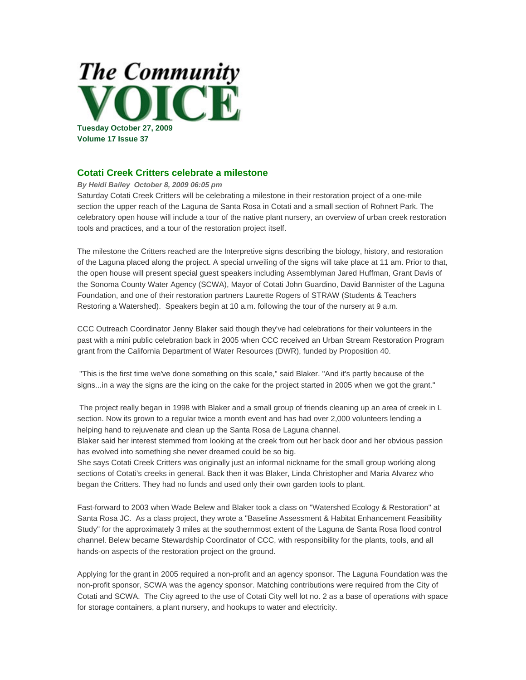

## **Cotati Creek Critters celebrate a milestone**

*By Heidi Bailey October 8, 2009 06:05 pm*

Saturday Cotati Creek Critters will be celebrating a milestone in their restoration project of a one-mile section the upper reach of the Laguna de Santa Rosa in Cotati and a small section of Rohnert Park. The celebratory open house will include a tour of the native plant nursery, an overview of urban creek restoration tools and practices, and a tour of the restoration project itself.

The milestone the Critters reached are the Interpretive signs describing the biology, history, and restoration of the Laguna placed along the project. A special unveiling of the signs will take place at 11 am. Prior to that, the open house will present special guest speakers including Assemblyman Jared Huffman, Grant Davis of the Sonoma County Water Agency (SCWA), Mayor of Cotati John Guardino, David Bannister of the Laguna Foundation, and one of their restoration partners Laurette Rogers of STRAW (Students & Teachers Restoring a Watershed). Speakers begin at 10 a.m. following the tour of the nursery at 9 a.m.

CCC Outreach Coordinator Jenny Blaker said though they've had celebrations for their volunteers in the past with a mini public celebration back in 2005 when CCC received an Urban Stream Restoration Program grant from the California Department of Water Resources (DWR), funded by Proposition 40.

 "This is the first time we've done something on this scale," said Blaker. "And it's partly because of the signs...in a way the signs are the icing on the cake for the project started in 2005 when we got the grant."

 The project really began in 1998 with Blaker and a small group of friends cleaning up an area of creek in L section. Now its grown to a regular twice a month event and has had over 2,000 volunteers lending a helping hand to rejuvenate and clean up the Santa Rosa de Laguna channel.

Blaker said her interest stemmed from looking at the creek from out her back door and her obvious passion has evolved into something she never dreamed could be so big.

She says Cotati Creek Critters was originally just an informal nickname for the small group working along sections of Cotati's creeks in general. Back then it was Blaker, Linda Christopher and Maria Alvarez who began the Critters. They had no funds and used only their own garden tools to plant.

Fast-forward to 2003 when Wade Belew and Blaker took a class on "Watershed Ecology & Restoration" at Santa Rosa JC. As a class project, they wrote a "Baseline Assessment & Habitat Enhancement Feasibility Study" for the approximately 3 miles at the southernmost extent of the Laguna de Santa Rosa flood control channel. Belew became Stewardship Coordinator of CCC, with responsibility for the plants, tools, and all hands-on aspects of the restoration project on the ground.

Applying for the grant in 2005 required a non-profit and an agency sponsor. The Laguna Foundation was the non-profit sponsor, SCWA was the agency sponsor. Matching contributions were required from the City of Cotati and SCWA. The City agreed to the use of Cotati City well lot no. 2 as a base of operations with space for storage containers, a plant nursery, and hookups to water and electricity.